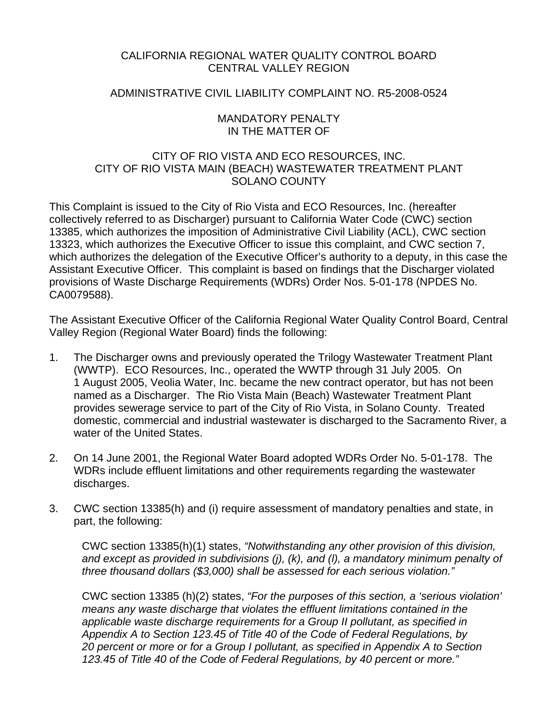## CALIFORNIA REGIONAL WATER QUALITY CONTROL BOARD CENTRAL VALLEY REGION

#### ADMINISTRATIVE CIVIL LIABILITY COMPLAINT NO. R5-2008-0524

#### MANDATORY PENALTY IN THE MATTER OF

## CITY OF RIO VISTA AND ECO RESOURCES, INC. CITY OF RIO VISTA MAIN (BEACH) WASTEWATER TREATMENT PLANT SOLANO COUNTY

This Complaint is issued to the City of Rio Vista and ECO Resources, Inc. (hereafter collectively referred to as Discharger) pursuant to California Water Code (CWC) section 13385, which authorizes the imposition of Administrative Civil Liability (ACL), CWC section 13323, which authorizes the Executive Officer to issue this complaint, and CWC section 7, which authorizes the delegation of the Executive Officer's authority to a deputy, in this case the Assistant Executive Officer. This complaint is based on findings that the Discharger violated provisions of Waste Discharge Requirements (WDRs) Order Nos. 5-01-178 (NPDES No. CA0079588).

The Assistant Executive Officer of the California Regional Water Quality Control Board, Central Valley Region (Regional Water Board) finds the following:

- 1. The Discharger owns and previously operated the Trilogy Wastewater Treatment Plant (WWTP). ECO Resources, Inc., operated the WWTP through 31 July 2005. On 1 August 2005, Veolia Water, Inc. became the new contract operator, but has not been named as a Discharger. The Rio Vista Main (Beach) Wastewater Treatment Plant provides sewerage service to part of the City of Rio Vista, in Solano County. Treated domestic, commercial and industrial wastewater is discharged to the Sacramento River, a water of the United States.
- 2. On 14 June 2001, the Regional Water Board adopted WDRs Order No. 5-01-178. The WDRs include effluent limitations and other requirements regarding the wastewater discharges.
- 3. CWC section 13385(h) and (i) require assessment of mandatory penalties and state, in part, the following:

CWC section 13385(h)(1) states, *"Notwithstanding any other provision of this division, and except as provided in subdivisions (j), (k), and (l), a mandatory minimum penalty of three thousand dollars (\$3,000) shall be assessed for each serious violation."* 

CWC section 13385 (h)(2) states, *"For the purposes of this section, a 'serious violation' means any waste discharge that violates the effluent limitations contained in the applicable waste discharge requirements for a Group II pollutant, as specified in Appendix A to Section 123.45 of Title 40 of the Code of Federal Regulations, by 20 percent or more or for a Group I pollutant, as specified in Appendix A to Section 123.45 of Title 40 of the Code of Federal Regulations, by 40 percent or more."*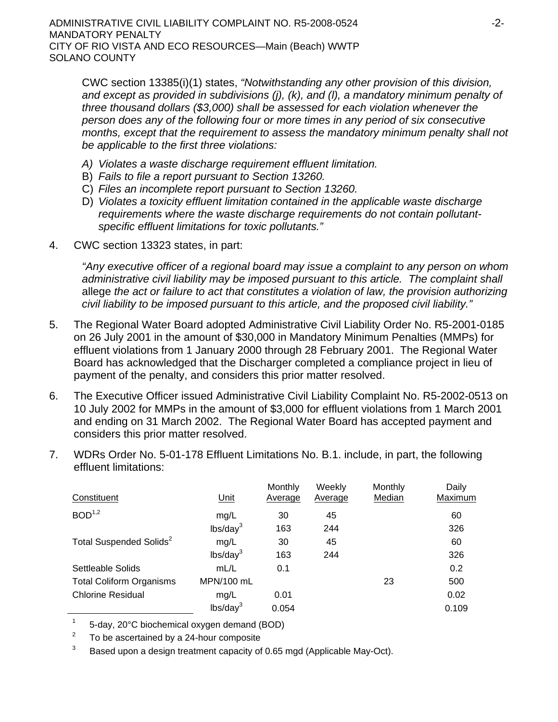ADMINISTRATIVE CIVIL LIABILITY COMPLAINT NO. R5-2008-0524  $-2$ -MANDATORY PENALTY CITY OF RIO VISTA AND ECO RESOURCES—Main (Beach) WWTP SOLANO COUNTY

CWC section 13385(i)(1) states, *"Notwithstanding any other provision of this division, and except as provided in subdivisions (j), (k), and (l), a mandatory minimum penalty of three thousand dollars (\$3,000) shall be assessed for each violation whenever the person does any of the following four or more times in any period of six consecutive months, except that the requirement to assess the mandatory minimum penalty shall not be applicable to the first three violations:*

- *A) Violates a waste discharge requirement effluent limitation.*
- B) *Fails to file a report pursuant to Section 13260.*
- C) *Files an incomplete report pursuant to Section 13260.*
- D) *Violates a toxicity effluent limitation contained in the applicable waste discharge requirements where the waste discharge requirements do not contain pollutantspecific effluent limitations for toxic pollutants."*
- 4. CWC section 13323 states, in part:

*"Any executive officer of a regional board may issue a complaint to any person on whom administrative civil liability may be imposed pursuant to this article. The complaint shall*  allege *the act or failure to act that constitutes a violation of law, the provision authorizing civil liability to be imposed pursuant to this article, and the proposed civil liability."*

- 5. The Regional Water Board adopted Administrative Civil Liability Order No. R5-2001-0185 on 26 July 2001 in the amount of \$30,000 in Mandatory Minimum Penalties (MMPs) for effluent violations from 1 January 2000 through 28 February 2001. The Regional Water Board has acknowledged that the Discharger completed a compliance project in lieu of payment of the penalty, and considers this prior matter resolved.
- 6. The Executive Officer issued Administrative Civil Liability Complaint No. R5-2002-0513 on 10 July 2002 for MMPs in the amount of \$3,000 for effluent violations from 1 March 2001 and ending on 31 March 2002. The Regional Water Board has accepted payment and considers this prior matter resolved.
- 7. WDRs Order No. 5-01-178 Effluent Limitations No. B.1. include, in part, the following effluent limitations:

| Constituent                         | <u>Unit</u>          | Monthly<br>Average | Weekly<br>Average | <b>Monthly</b><br>Median | Daily<br>Maximum |
|-------------------------------------|----------------------|--------------------|-------------------|--------------------------|------------------|
| BOD <sup>1,2</sup>                  | mg/L                 | 30                 | 45                |                          | 60               |
|                                     | lbs/day <sup>3</sup> | 163                | 244               |                          | 326              |
| Total Suspended Solids <sup>2</sup> | mg/L                 | 30                 | 45                |                          | 60               |
|                                     | lbs/day <sup>3</sup> | 163                | 244               |                          | 326              |
| Settleable Solids                   | mL/L                 | 0.1                |                   |                          | 0.2              |
| <b>Total Coliform Organisms</b>     | MPN/100 mL           |                    |                   | 23                       | 500              |
| <b>Chlorine Residual</b>            | mg/L                 | 0.01               |                   |                          | 0.02             |
|                                     | lbs/day <sup>3</sup> | 0.054              |                   |                          | 0.109            |

1 5-day, 20°C biochemical oxygen demand (BOD)

 $2^2$  To be ascertained by a 24-hour composite

 $3$  Based upon a design treatment capacity of 0.65 mgd (Applicable May-Oct).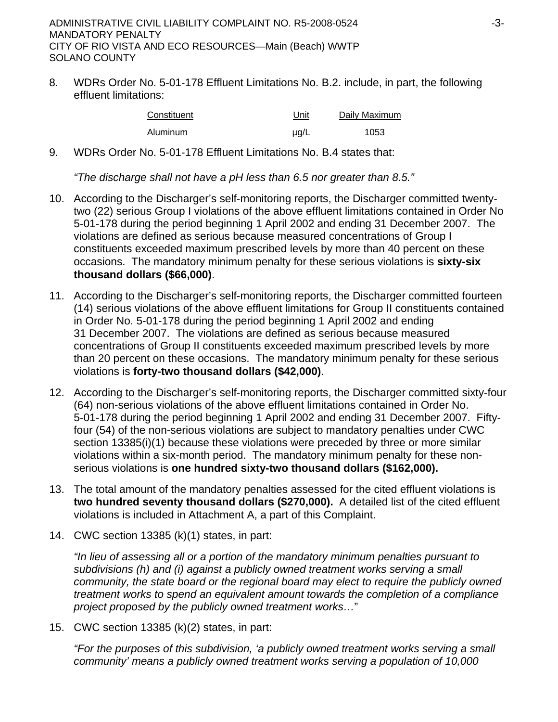8. WDRs Order No. 5-01-178 Effluent Limitations No. B.2. include, in part, the following effluent limitations:

| Constituent | Unit | Daily Maximum |
|-------------|------|---------------|
| Aluminum    | µg/L | 1053          |

9. WDRs Order No. 5-01-178 Effluent Limitations No. B.4 states that:

*"The discharge shall not have a pH less than 6.5 nor greater than 8.5."*

- 10. According to the Discharger's self-monitoring reports, the Discharger committed twentytwo (22) serious Group I violations of the above effluent limitations contained in Order No 5-01-178 during the period beginning 1 April 2002 and ending 31 December 2007. The violations are defined as serious because measured concentrations of Group I constituents exceeded maximum prescribed levels by more than 40 percent on these occasions. The mandatory minimum penalty for these serious violations is **sixty-six thousand dollars (\$66,000)**.
- 11. According to the Discharger's self-monitoring reports, the Discharger committed fourteen (14) serious violations of the above effluent limitations for Group II constituents contained in Order No. 5-01-178 during the period beginning 1 April 2002 and ending 31 December 2007. The violations are defined as serious because measured concentrations of Group II constituents exceeded maximum prescribed levels by more than 20 percent on these occasions. The mandatory minimum penalty for these serious violations is **forty-two thousand dollars (\$42,000)**.
- 12. According to the Discharger's self-monitoring reports, the Discharger committed sixty-four (64) non-serious violations of the above effluent limitations contained in Order No. 5-01-178 during the period beginning 1 April 2002 and ending 31 December 2007. Fiftyfour (54) of the non-serious violations are subject to mandatory penalties under CWC section 13385(i)(1) because these violations were preceded by three or more similar violations within a six-month period. The mandatory minimum penalty for these nonserious violations is **one hundred sixty-two thousand dollars (\$162,000).**
- 13. The total amount of the mandatory penalties assessed for the cited effluent violations is **two hundred seventy thousand dollars (\$270,000).** A detailed list of the cited effluent violations is included in Attachment A, a part of this Complaint.
- 14. CWC section 13385 (k)(1) states, in part:

*"In lieu of assessing all or a portion of the mandatory minimum penalties pursuant to subdivisions (h) and (i) against a publicly owned treatment works serving a small community, the state board or the regional board may elect to require the publicly owned treatment works to spend an equivalent amount towards the completion of a compliance project proposed by the publicly owned treatment works…*"

15. CWC section 13385 (k)(2) states, in part:

*"For the purposes of this subdivision, 'a publicly owned treatment works serving a small community' means a publicly owned treatment works serving a population of 10,000*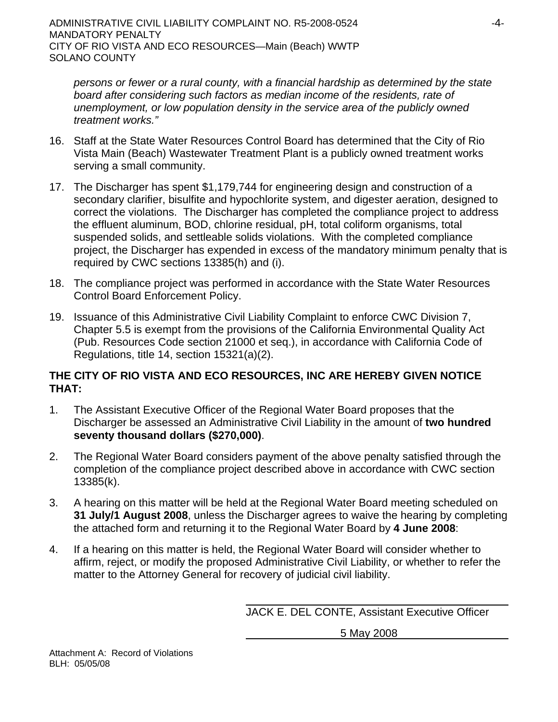*persons or fewer or a rural county, with a financial hardship as determined by the state board after considering such factors as median income of the residents, rate of unemployment, or low population density in the service area of the publicly owned treatment works."*

- 16. Staff at the State Water Resources Control Board has determined that the City of Rio Vista Main (Beach) Wastewater Treatment Plant is a publicly owned treatment works serving a small community.
- 17. The Discharger has spent \$1,179,744 for engineering design and construction of a secondary clarifier, bisulfite and hypochlorite system, and digester aeration, designed to correct the violations. The Discharger has completed the compliance project to address the effluent aluminum, BOD, chlorine residual, pH, total coliform organisms, total suspended solids, and settleable solids violations. With the completed compliance project, the Discharger has expended in excess of the mandatory minimum penalty that is required by CWC sections 13385(h) and (i).
- 18. The compliance project was performed in accordance with the State Water Resources Control Board Enforcement Policy.
- 19. Issuance of this Administrative Civil Liability Complaint to enforce CWC Division 7, Chapter 5.5 is exempt from the provisions of the California Environmental Quality Act (Pub. Resources Code section 21000 et seq.), in accordance with California Code of Regulations, title 14, section 15321(a)(2).

# **THE CITY OF RIO VISTA AND ECO RESOURCES, INC ARE HEREBY GIVEN NOTICE THAT:**

- 1. The Assistant Executive Officer of the Regional Water Board proposes that the Discharger be assessed an Administrative Civil Liability in the amount of **two hundred seventy thousand dollars (\$270,000)**.
- 2. The Regional Water Board considers payment of the above penalty satisfied through the completion of the compliance project described above in accordance with CWC section 13385(k).
- 3. A hearing on this matter will be held at the Regional Water Board meeting scheduled on **31 July/1 August 2008**, unless the Discharger agrees to waive the hearing by completing the attached form and returning it to the Regional Water Board by **4 June 2008**:
- 4. If a hearing on this matter is held, the Regional Water Board will consider whether to affirm, reject, or modify the proposed Administrative Civil Liability, or whether to refer the matter to the Attorney General for recovery of judicial civil liability.

JACK E. DEL CONTE, Assistant Executive Officer

5 May 2008

Attachment A: Record of Violations BLH: 05/05/08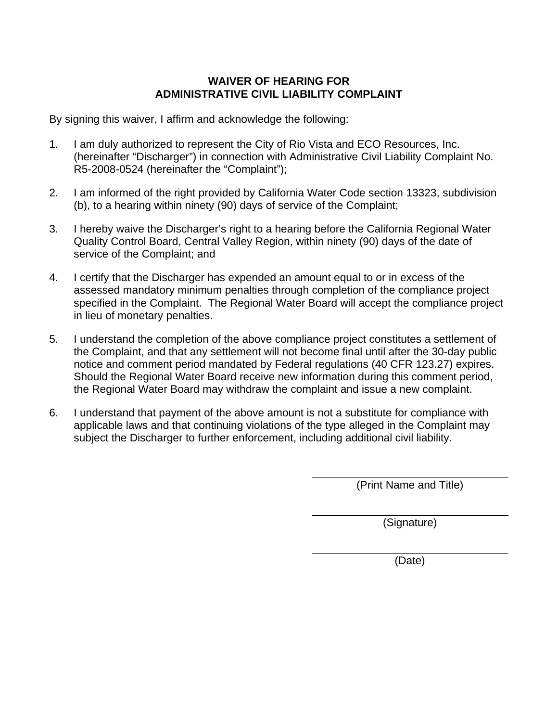# **WAIVER OF HEARING FOR ADMINISTRATIVE CIVIL LIABILITY COMPLAINT**

By signing this waiver, I affirm and acknowledge the following:

- 1. I am duly authorized to represent the City of Rio Vista and ECO Resources, Inc. (hereinafter "Discharger") in connection with Administrative Civil Liability Complaint No. R5-2008-0524 (hereinafter the "Complaint");
- 2. I am informed of the right provided by California Water Code section 13323, subdivision (b), to a hearing within ninety (90) days of service of the Complaint;
- 3. I hereby waive the Discharger's right to a hearing before the California Regional Water Quality Control Board, Central Valley Region, within ninety (90) days of the date of service of the Complaint; and
- 4. I certify that the Discharger has expended an amount equal to or in excess of the assessed mandatory minimum penalties through completion of the compliance project specified in the Complaint. The Regional Water Board will accept the compliance project in lieu of monetary penalties.
- 5. I understand the completion of the above compliance project constitutes a settlement of the Complaint, and that any settlement will not become final until after the 30-day public notice and comment period mandated by Federal regulations (40 CFR 123.27) expires. Should the Regional Water Board receive new information during this comment period, the Regional Water Board may withdraw the complaint and issue a new complaint.
- 6. I understand that payment of the above amount is not a substitute for compliance with applicable laws and that continuing violations of the type alleged in the Complaint may subject the Discharger to further enforcement, including additional civil liability.

(Print Name and Title)

(Signature)

(Date)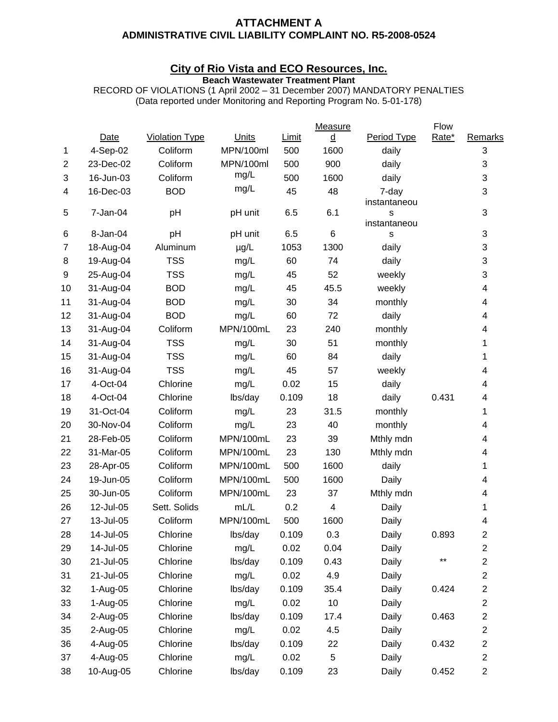#### **ATTACHMENT A ADMINISTRATIVE CIVIL LIABILITY COMPLAINT NO. R5-2008-0524**

#### **City of Rio Vista and ECO Resources, Inc.**

**Beach Wastewater Treatment Plant** 

RECORD OF VIOLATIONS (1 April 2002 – 31 December 2007) MANDATORY PENALTIES (Data reported under Monitoring and Reporting Program No. 5-01-178)

| 1              | <b>Date</b> | <b>Violation Type</b> | Units     | Limit | $\underline{\mathtt{d}}$ | Period Type           | Rate* |                         |
|----------------|-------------|-----------------------|-----------|-------|--------------------------|-----------------------|-------|-------------------------|
|                |             |                       |           |       |                          |                       |       | Remarks                 |
|                | 4-Sep-02    | Coliform              | MPN/100ml | 500   | 1600                     | daily                 |       | 3                       |
| $\overline{2}$ | 23-Dec-02   | Coliform              | MPN/100ml | 500   | 900                      | daily                 |       | 3                       |
| 3              | 16-Jun-03   | Coliform              | mg/L      | 500   | 1600                     | daily                 |       | 3                       |
| 4              | 16-Dec-03   | <b>BOD</b>            | mg/L      | 45    | 48                       | 7-day<br>instantaneou |       | 3                       |
| 5              | 7-Jan-04    | pH                    | pH unit   | 6.5   | 6.1                      | S<br>instantaneou     |       | 3                       |
| 6              | 8-Jan-04    | pH                    | pH unit   | 6.5   | 6                        | S                     |       | 3                       |
| $\overline{7}$ | 18-Aug-04   | Aluminum              | $\mu$ g/L | 1053  | 1300                     | daily                 |       | 3                       |
| 8              | 19-Aug-04   | <b>TSS</b>            | mg/L      | 60    | 74                       | daily                 |       | 3                       |
| 9              | 25-Aug-04   | <b>TSS</b>            | mg/L      | 45    | 52                       | weekly                |       | 3                       |
| 10             | 31-Aug-04   | <b>BOD</b>            | mg/L      | 45    | 45.5                     | weekly                |       | 4                       |
| 11             | 31-Aug-04   | <b>BOD</b>            | mg/L      | 30    | 34                       | monthly               |       | 4                       |
| 12             | 31-Aug-04   | <b>BOD</b>            | mg/L      | 60    | 72                       | daily                 |       | 4                       |
| 13             | 31-Aug-04   | Coliform              | MPN/100mL | 23    | 240                      | monthly               |       | 4                       |
| 14             | 31-Aug-04   | <b>TSS</b>            | mg/L      | 30    | 51                       | monthly               |       | 1                       |
| 15             | 31-Aug-04   | <b>TSS</b>            | mg/L      | 60    | 84                       | daily                 |       | 1                       |
| 16             | 31-Aug-04   | <b>TSS</b>            | mg/L      | 45    | 57                       | weekly                |       | 4                       |
| 17             | 4-Oct-04    | Chlorine              | mg/L      | 0.02  | 15                       | daily                 |       | 4                       |
| 18             | 4-Oct-04    | Chlorine              | lbs/day   | 0.109 | 18                       | daily                 | 0.431 | 4                       |
| 19             | 31-Oct-04   | Coliform              | mg/L      | 23    | 31.5                     | monthly               |       | 1                       |
| 20             | 30-Nov-04   | Coliform              | mg/L      | 23    | 40                       | monthly               |       | 4                       |
| 21             | 28-Feb-05   | Coliform              | MPN/100mL | 23    | 39                       | Mthly mdn             |       | 4                       |
| 22             | 31-Mar-05   | Coliform              | MPN/100mL | 23    | 130                      | Mthly mdn             |       | 4                       |
| 23             | 28-Apr-05   | Coliform              | MPN/100mL | 500   | 1600                     | daily                 |       | 1                       |
| 24             | 19-Jun-05   | Coliform              | MPN/100mL | 500   | 1600                     | Daily                 |       | 4                       |
| 25             | 30-Jun-05   | Coliform              | MPN/100mL | 23    | 37                       | Mthly mdn             |       | 4                       |
| 26             | 12-Jul-05   | Sett. Solids          | mL/L      | 0.2   | 4                        | Daily                 |       | 1                       |
| 27             | 13-Jul-05   | Coliform              | MPN/100mL | 500   | 1600                     | Daily                 |       | 4                       |
| 28             | 14-Jul-05   | Chlorine              | lbs/day   | 0.109 | 0.3                      | Daily                 | 0.893 | 2                       |
| 29             | 14-Jul-05   | Chlorine              | mg/L      | 0.02  | 0.04                     | Daily                 |       | 2                       |
| 30             | 21-Jul-05   | Chlorine              | lbs/day   | 0.109 | 0.43                     | Daily                 | $***$ | $\overline{c}$          |
| 31             | 21-Jul-05   | Chlorine              | mg/L      | 0.02  | 4.9                      | Daily                 |       | $\overline{2}$          |
| 32             | 1-Aug-05    | Chlorine              | lbs/day   | 0.109 | 35.4                     | Daily                 | 0.424 | $\overline{\mathbf{c}}$ |
| 33             | 1-Aug-05    | Chlorine              | mg/L      | 0.02  | 10                       | Daily                 |       | $\overline{c}$          |
| 34             | 2-Aug-05    | Chlorine              | lbs/day   | 0.109 | 17.4                     | Daily                 | 0.463 | 2                       |
| 35             | 2-Aug-05    | Chlorine              | mg/L      | 0.02  | 4.5                      | Daily                 |       | $\overline{c}$          |
| 36             | 4-Aug-05    | Chlorine              | lbs/day   | 0.109 | 22                       | Daily                 | 0.432 | $\overline{\mathbf{c}}$ |
| 37             | 4-Aug-05    | Chlorine              | mg/L      | 0.02  | 5                        | Daily                 |       | $\overline{c}$          |
| 38             | 10-Aug-05   | Chlorine              | lbs/day   | 0.109 | 23                       | Daily                 | 0.452 | $\overline{c}$          |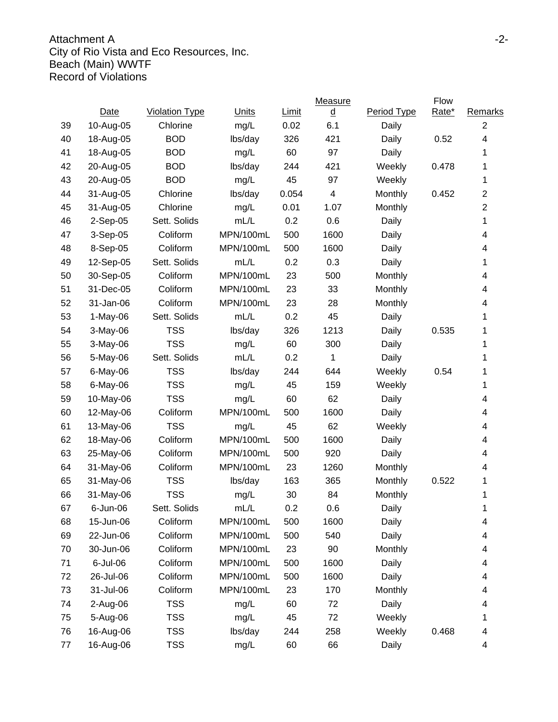## Attachment A -2-City of Rio Vista and Eco Resources, Inc. Beach (Main) WWTF Record of Violations

| <b>Violation Type</b><br>Units<br>$\underline{\mathtt{d}}$<br>Period Type<br>Date<br>Limit<br>Chlorine<br>mg/L<br>0.02<br>6.1<br>Daily<br>39<br>10-Aug-05<br><b>BOD</b><br>40<br>lbs/day<br>326<br>421<br>18-Aug-05<br>Daily<br>41<br><b>BOD</b><br>mg/L<br>60<br>97<br>18-Aug-05<br>Daily<br>42<br><b>BOD</b><br>lbs/day<br>244<br>421<br>20-Aug-05<br>Weekly<br>43<br><b>BOD</b><br>mg/L<br>45<br>97<br>20-Aug-05<br>Weekly<br>31-Aug-05<br>Chlorine<br>lbs/day<br>0.054<br>4<br>Monthly<br>44 | Rate*<br>Remarks<br>$\overline{2}$<br>4<br>0.52<br>1<br>0.478<br>1<br>1<br>0.452<br>$\overline{\mathbf{c}}$<br>$\overline{2}$<br>1 |
|--------------------------------------------------------------------------------------------------------------------------------------------------------------------------------------------------------------------------------------------------------------------------------------------------------------------------------------------------------------------------------------------------------------------------------------------------------------------------------------------------|------------------------------------------------------------------------------------------------------------------------------------|
|                                                                                                                                                                                                                                                                                                                                                                                                                                                                                                  |                                                                                                                                    |
|                                                                                                                                                                                                                                                                                                                                                                                                                                                                                                  |                                                                                                                                    |
|                                                                                                                                                                                                                                                                                                                                                                                                                                                                                                  |                                                                                                                                    |
|                                                                                                                                                                                                                                                                                                                                                                                                                                                                                                  |                                                                                                                                    |
|                                                                                                                                                                                                                                                                                                                                                                                                                                                                                                  |                                                                                                                                    |
|                                                                                                                                                                                                                                                                                                                                                                                                                                                                                                  |                                                                                                                                    |
|                                                                                                                                                                                                                                                                                                                                                                                                                                                                                                  |                                                                                                                                    |
| 45<br>Chlorine<br>0.01<br>1.07<br>31-Aug-05<br>mg/L<br>Monthly                                                                                                                                                                                                                                                                                                                                                                                                                                   |                                                                                                                                    |
| Sett. Solids<br>mL/L<br>46<br>0.2<br>0.6<br>2-Sep-05<br>Daily                                                                                                                                                                                                                                                                                                                                                                                                                                    |                                                                                                                                    |
| Coliform<br>MPN/100mL<br>500<br>1600<br>47<br>3-Sep-05<br>Daily                                                                                                                                                                                                                                                                                                                                                                                                                                  | 4                                                                                                                                  |
| Coliform<br>MPN/100mL<br>1600<br>48<br>500<br>8-Sep-05<br>Daily                                                                                                                                                                                                                                                                                                                                                                                                                                  | 4                                                                                                                                  |
| mL/L<br>49<br>Sett. Solids<br>0.2<br>0.3<br>12-Sep-05<br>Daily                                                                                                                                                                                                                                                                                                                                                                                                                                   | 1                                                                                                                                  |
| 50<br>Coliform<br>MPN/100mL<br>23<br>500<br>30-Sep-05<br>Monthly                                                                                                                                                                                                                                                                                                                                                                                                                                 | 4                                                                                                                                  |
| 51<br>31-Dec-05<br>Coliform<br>MPN/100mL<br>23<br>33<br>Monthly                                                                                                                                                                                                                                                                                                                                                                                                                                  | 4                                                                                                                                  |
| MPN/100mL<br>52<br>31-Jan-06<br>Coliform<br>23<br>28<br>Monthly                                                                                                                                                                                                                                                                                                                                                                                                                                  | 4                                                                                                                                  |
| mL/L<br>53<br>$1-May-06$<br>Sett. Solids<br>0.2<br>45<br>Daily                                                                                                                                                                                                                                                                                                                                                                                                                                   | 1                                                                                                                                  |
| <b>TSS</b><br>54<br>lbs/day<br>326<br>1213<br>3-May-06<br>Daily                                                                                                                                                                                                                                                                                                                                                                                                                                  | 0.535<br>1                                                                                                                         |
| 55<br><b>TSS</b><br>60<br>300<br>3-May-06<br>mg/L<br>Daily                                                                                                                                                                                                                                                                                                                                                                                                                                       | 1                                                                                                                                  |
| Sett. Solids<br>mL/L<br>56<br>0.2<br>1<br>5-May-06<br>Daily                                                                                                                                                                                                                                                                                                                                                                                                                                      | 1                                                                                                                                  |
| <b>TSS</b><br>57<br>lbs/day<br>6-May-06<br>244<br>644<br>Weekly                                                                                                                                                                                                                                                                                                                                                                                                                                  | 0.54<br>1                                                                                                                          |
| 58<br><b>TSS</b><br>45<br>159<br>6-May-06<br>mg/L<br>Weekly                                                                                                                                                                                                                                                                                                                                                                                                                                      | 1                                                                                                                                  |
| <b>TSS</b><br>59<br>60<br>62<br>10-May-06<br>mg/L<br>Daily                                                                                                                                                                                                                                                                                                                                                                                                                                       | 4                                                                                                                                  |
| MPN/100mL<br>1600<br>60<br>Coliform<br>500<br>12-May-06<br>Daily                                                                                                                                                                                                                                                                                                                                                                                                                                 | 4                                                                                                                                  |
| <b>TSS</b><br>61<br>mg/L<br>45<br>62<br>13-May-06<br>Weekly                                                                                                                                                                                                                                                                                                                                                                                                                                      | 4                                                                                                                                  |
| 1600<br>62<br>Coliform<br>MPN/100mL<br>500<br>18-May-06<br>Daily                                                                                                                                                                                                                                                                                                                                                                                                                                 | 4                                                                                                                                  |
| 63<br>Coliform<br>MPN/100mL<br>920<br>25-May-06<br>500<br>Daily                                                                                                                                                                                                                                                                                                                                                                                                                                  | 4                                                                                                                                  |
| MPN/100mL<br>Coliform<br>23<br>1260<br>64<br>31-May-06<br>Monthly                                                                                                                                                                                                                                                                                                                                                                                                                                | 4                                                                                                                                  |
| 65<br><b>TSS</b><br>lbs/day<br>163<br>365<br>31-May-06<br>Monthly                                                                                                                                                                                                                                                                                                                                                                                                                                | 0.522<br>1                                                                                                                         |
| <b>TSS</b><br>30<br>84<br>66<br>31-May-06<br>mg/L<br>Monthly                                                                                                                                                                                                                                                                                                                                                                                                                                     | 1                                                                                                                                  |
| Sett. Solids<br>mL/L<br>Daily<br>6-Jun-06<br>0.2<br>0.6<br>67                                                                                                                                                                                                                                                                                                                                                                                                                                    | 1                                                                                                                                  |
| Coliform<br>MPN/100mL<br>500<br>1600<br>68<br>15-Jun-06<br>Daily                                                                                                                                                                                                                                                                                                                                                                                                                                 | 4                                                                                                                                  |
| 22-Jun-06<br>Coliform<br>MPN/100mL<br>Daily<br>69<br>500<br>540                                                                                                                                                                                                                                                                                                                                                                                                                                  | 4                                                                                                                                  |
| 90<br>70<br>30-Jun-06<br>Coliform<br>MPN/100mL<br>23<br>Monthly                                                                                                                                                                                                                                                                                                                                                                                                                                  | 4                                                                                                                                  |
| 6-Jul-06<br>Coliform<br>MPN/100mL<br>1600<br>71<br>500<br>Daily                                                                                                                                                                                                                                                                                                                                                                                                                                  | 4                                                                                                                                  |
| Coliform<br>72<br>26-Jul-06<br>MPN/100mL<br>500<br>1600<br>Daily                                                                                                                                                                                                                                                                                                                                                                                                                                 | 4                                                                                                                                  |
| 31-Jul-06<br>Coliform<br>MPN/100mL<br>Monthly<br>73<br>23<br>170                                                                                                                                                                                                                                                                                                                                                                                                                                 | 4                                                                                                                                  |
| <b>TSS</b><br>$2-Au$ g-06<br>mg/L<br>60<br>72<br>Daily<br>74                                                                                                                                                                                                                                                                                                                                                                                                                                     | 4                                                                                                                                  |
| 75<br>5-Aug-06<br><b>TSS</b><br>45<br>mg/L<br>72<br>Weekly                                                                                                                                                                                                                                                                                                                                                                                                                                       | 1                                                                                                                                  |
| 16-Aug-06<br><b>TSS</b><br>lbs/day<br>244<br>258<br>76<br>Weekly                                                                                                                                                                                                                                                                                                                                                                                                                                 | 0.468<br>4                                                                                                                         |
| 16-Aug-06<br><b>TSS</b><br>60<br>77<br>mg/L<br>66<br>Daily                                                                                                                                                                                                                                                                                                                                                                                                                                       | 4                                                                                                                                  |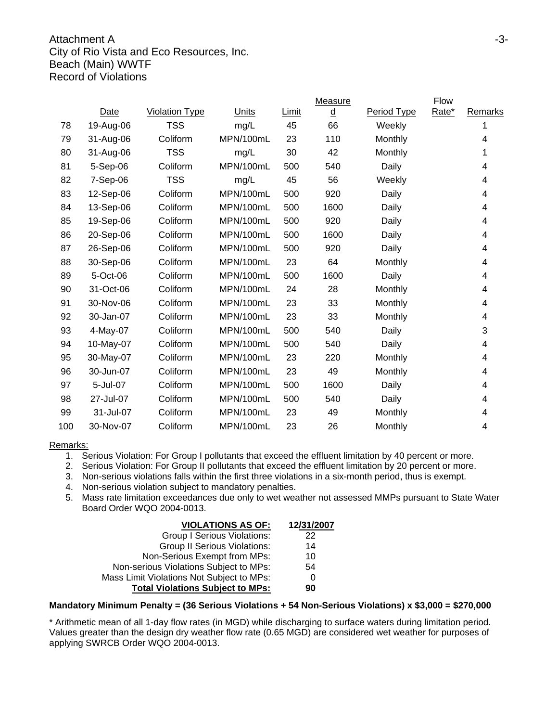#### Attachment A -3-City of Rio Vista and Eco Resources, Inc. Beach (Main) WWTF Record of Violations

|     |           |                       |           |       | <b>Measure</b>           |             | Flow  |                |
|-----|-----------|-----------------------|-----------|-------|--------------------------|-------------|-------|----------------|
|     | Date      | <b>Violation Type</b> | Units     | Limit | $\underline{\mathtt{d}}$ | Period Type | Rate* | <b>Remarks</b> |
| 78  | 19-Aug-06 | <b>TSS</b>            | mg/L      | 45    | 66                       | Weekly      |       | 1              |
| 79  | 31-Aug-06 | Coliform              | MPN/100mL | 23    | 110                      | Monthly     |       | 4              |
| 80  | 31-Aug-06 | <b>TSS</b>            | mg/L      | 30    | 42                       | Monthly     |       | 1              |
| 81  | 5-Sep-06  | Coliform              | MPN/100mL | 500   | 540                      | Daily       |       | 4              |
| 82  | 7-Sep-06  | <b>TSS</b>            | mg/L      | 45    | 56                       | Weekly      |       | 4              |
| 83  | 12-Sep-06 | Coliform              | MPN/100mL | 500   | 920                      | Daily       |       | 4              |
| 84  | 13-Sep-06 | Coliform              | MPN/100mL | 500   | 1600                     | Daily       |       | 4              |
| 85  | 19-Sep-06 | Coliform              | MPN/100mL | 500   | 920                      | Daily       |       | 4              |
| 86  | 20-Sep-06 | Coliform              | MPN/100mL | 500   | 1600                     | Daily       |       | 4              |
| 87  | 26-Sep-06 | Coliform              | MPN/100mL | 500   | 920                      | Daily       |       | 4              |
| 88  | 30-Sep-06 | Coliform              | MPN/100mL | 23    | 64                       | Monthly     |       | 4              |
| 89  | 5-Oct-06  | Coliform              | MPN/100mL | 500   | 1600                     | Daily       |       | 4              |
| 90  | 31-Oct-06 | Coliform              | MPN/100mL | 24    | 28                       | Monthly     |       | 4              |
| 91  | 30-Nov-06 | Coliform              | MPN/100mL | 23    | 33                       | Monthly     |       | 4              |
| 92  | 30-Jan-07 | Coliform              | MPN/100mL | 23    | 33                       | Monthly     |       | 4              |
| 93  | 4-May-07  | Coliform              | MPN/100mL | 500   | 540                      | Daily       |       | 3              |
| 94  | 10-May-07 | Coliform              | MPN/100mL | 500   | 540                      | Daily       |       | 4              |
| 95  | 30-May-07 | Coliform              | MPN/100mL | 23    | 220                      | Monthly     |       | 4              |
| 96  | 30-Jun-07 | Coliform              | MPN/100mL | 23    | 49                       | Monthly     |       | 4              |
| 97  | 5-Jul-07  | Coliform              | MPN/100mL | 500   | 1600                     | Daily       |       | 4              |
| 98  | 27-Jul-07 | Coliform              | MPN/100mL | 500   | 540                      | Daily       |       | 4              |
| 99  | 31-Jul-07 | Coliform              | MPN/100mL | 23    | 49                       | Monthly     |       | 4              |
| 100 | 30-Nov-07 | Coliform              | MPN/100mL | 23    | 26                       | Monthly     |       | 4              |
|     |           |                       |           |       |                          |             |       |                |

#### Remarks:

- 1. Serious Violation: For Group I pollutants that exceed the effluent limitation by 40 percent or more.
- 2. Serious Violation: For Group II pollutants that exceed the effluent limitation by 20 percent or more.
- 3. Non-serious violations falls within the first three violations in a six-month period, thus is exempt.
- 4. Non-serious violation subject to mandatory penalties.
- 5. Mass rate limitation exceedances due only to wet weather not assessed MMPs pursuant to State Water Board Order WQO 2004-0013.

| <b>VIOLATIONS AS OF:</b>                  | 12/31/2007 |
|-------------------------------------------|------------|
| <b>Group I Serious Violations:</b>        | 22         |
| <b>Group II Serious Violations:</b>       | 14         |
| Non-Serious Exempt from MPs:              | 10         |
| Non-serious Violations Subject to MPs:    | 54         |
| Mass Limit Violations Not Subject to MPs: | 0          |
| <b>Total Violations Subject to MPs:</b>   | 90         |

#### **Mandatory Minimum Penalty = (36 Serious Violations + 54 Non-Serious Violations) x \$3,000 = \$270,000**

\* Arithmetic mean of all 1-day flow rates (in MGD) while discharging to surface waters during limitation period. Values greater than the design dry weather flow rate (0.65 MGD) are considered wet weather for purposes of applying SWRCB Order WQO 2004-0013.